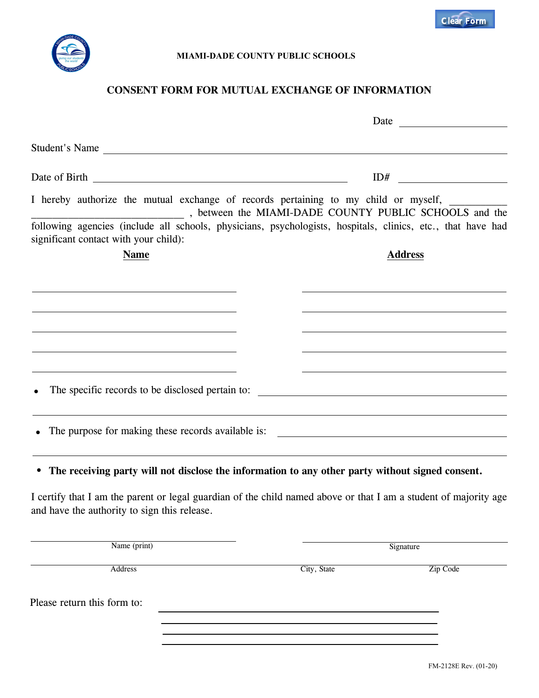

## **MIAMI-DADE COUNTY PUBLIC SCHOOLS**

## **CONSENT FORM FOR MUTUAL EXCHANGE OF INFORMATION**

| Student's Name                                     |                                                                                                                                                                                                                                                              |
|----------------------------------------------------|--------------------------------------------------------------------------------------------------------------------------------------------------------------------------------------------------------------------------------------------------------------|
|                                                    |                                                                                                                                                                                                                                                              |
|                                                    | I hereby authorize the mutual exchange of records pertaining to my child or myself,<br>, between the MIAMI-DADE COUNTY PUBLIC SCHOOLS and the<br>following agencies (include all schools, physicians, psychologists, hospitals, clinics, etc., that have had |
| significant contact with your child):              |                                                                                                                                                                                                                                                              |
| <b>Name</b>                                        | <b>Address</b>                                                                                                                                                                                                                                               |
|                                                    |                                                                                                                                                                                                                                                              |
|                                                    |                                                                                                                                                                                                                                                              |
|                                                    |                                                                                                                                                                                                                                                              |
|                                                    |                                                                                                                                                                                                                                                              |
| The specific records to be disclosed pertain to:   |                                                                                                                                                                                                                                                              |
| The purpose for making these records available is: | <u> 1989 - Johann Barbara, martin amerikan basal dan berasal dan berasal dalam basal dalam basal dan berasal dala</u>                                                                                                                                        |
|                                                    | • The receiving party will not disclose the information to any other party without signed consent.                                                                                                                                                           |
| and have the authority to sign this release.       | I certify that I am the parent or legal guardian of the child named above or that I am a student of majority age                                                                                                                                             |
| Name (print)                                       | Signature                                                                                                                                                                                                                                                    |
| Address                                            | Zip Code<br>City, State                                                                                                                                                                                                                                      |
| Please return this form to:                        |                                                                                                                                                                                                                                                              |
|                                                    |                                                                                                                                                                                                                                                              |

**Clear Form**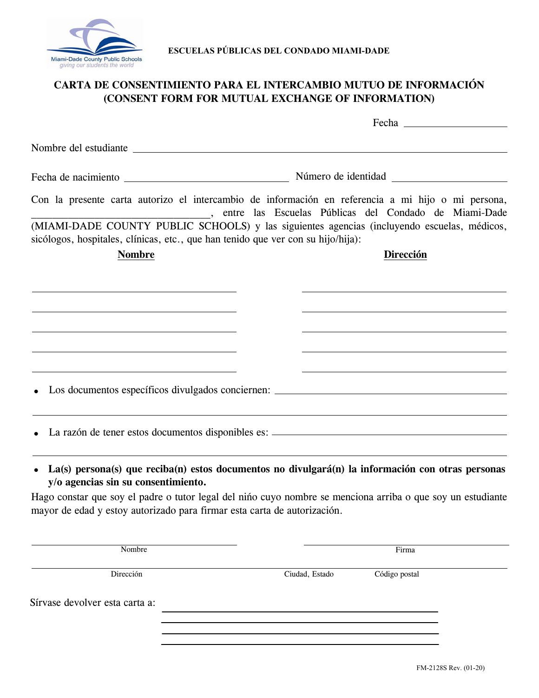

**ESCUELAS PÚBLICAS DEL CONDADO MIAMI-DADE**

## **CARTA DE CONSENTIMIENTO PARA EL INTERCAMBIO MUTUO DE INFORMACIÓN (CONSENT FORM FOR MUTUAL EXCHANGE OF INFORMATION)**

| Nombre del estudiante en contra a la contra del contra del contra del contra del contra del contra del contra del contra del contra del contra del contra del contra del contra del contra del contra del contra del contra de |                                                                                                                                                             |
|--------------------------------------------------------------------------------------------------------------------------------------------------------------------------------------------------------------------------------|-------------------------------------------------------------------------------------------------------------------------------------------------------------|
|                                                                                                                                                                                                                                |                                                                                                                                                             |
|                                                                                                                                                                                                                                | Con la presente carta autorizo el intercambio de información en referencia a mi hijo o mi persona,<br>entre las Escuelas Públicas del Condado de Miami-Dade |
| sicólogos, hospitales, clínicas, etc., que han tenido que ver con su hijo/hija):                                                                                                                                               | (MIAMI-DADE COUNTY PUBLIC SCHOOLS) y las siguientes agencias (incluyendo escuelas, médicos,                                                                 |
| <b>Nombre</b>                                                                                                                                                                                                                  | Dirección                                                                                                                                                   |
|                                                                                                                                                                                                                                |                                                                                                                                                             |
|                                                                                                                                                                                                                                |                                                                                                                                                             |
|                                                                                                                                                                                                                                |                                                                                                                                                             |
|                                                                                                                                                                                                                                |                                                                                                                                                             |
|                                                                                                                                                                                                                                | Los documentos específicos divulgados conciernen: _______________________________                                                                           |
|                                                                                                                                                                                                                                | La razón de tener estos documentos disponibles es: ______________________________                                                                           |
| y/o agencias sin su consentimiento.                                                                                                                                                                                            | La(s) persona(s) que reciba(n) estos documentos no divulgará(n) la información con otras personas                                                           |
| mayor de edad y estoy autorizado para firmar esta carta de autorización.                                                                                                                                                       | Hago constar que soy el padre o tutor legal del niño cuyo nombre se menciona arriba o que soy un estudiante                                                 |

| Nombre                         |                | Firma         |  |
|--------------------------------|----------------|---------------|--|
| Dirección                      | Ciudad, Estado | Código postal |  |
| Sírvase devolver esta carta a: |                |               |  |
|                                |                |               |  |